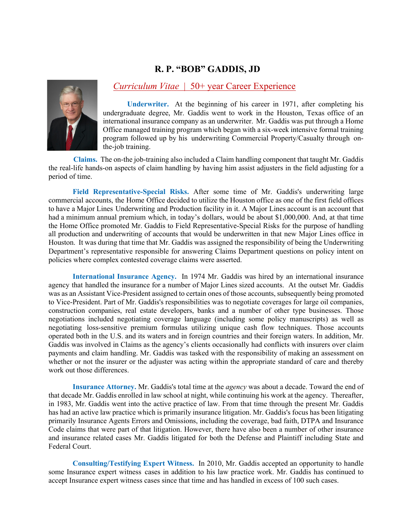# **R. P. "BOB" GADDIS, JD**



# *Curriculum Vitae* | 50+ year Career Experience

**Underwriter.** At the beginning of his career in 1971, after completing his undergraduate degree, Mr. Gaddis went to work in the Houston, Texas office of an international insurance company as an underwriter. Mr. Gaddis was put through a Home Office managed training program which began with a six-week intensive formal training program followed up by his underwriting Commercial Property/Casualty through onthe-job training.

**Claims.** The on-the job-training also included a Claim handling component that taught Mr. Gaddis the real-life hands-on aspects of claim handling by having him assist adjusters in the field adjusting for a period of time.

**Field Representative-Special Risks.** After some time of Mr. Gaddis's underwriting large commercial accounts, the Home Office decided to utilize the Houston office as one of the first field offices to have a Major Lines Underwriting and Production facility in it. A Major Lines account is an account that had a minimum annual premium which, in today's dollars, would be about \$1,000,000. And, at that time the Home Office promoted Mr. Gaddis to Field Representative-Special Risks for the purpose of handling all production and underwriting of accounts that would be underwritten in that new Major Lines office in Houston. It was during that time that Mr. Gaddis was assigned the responsibility of being the Underwriting Department's representative responsible for answering Claims Department questions on policy intent on policies where complex contested coverage claims were asserted.

**International Insurance Agency.** In 1974 Mr. Gaddis was hired by an international insurance agency that handled the insurance for a number of Major Lines sized accounts. At the outset Mr. Gaddis was as an Assistant Vice-President assigned to certain ones of those accounts, subsequently being promoted to Vice-President. Part of Mr. Gaddis's responsibilities was to negotiate coverages for large oil companies, construction companies, real estate developers, banks and a number of other type businesses. Those negotiations included negotiating coverage language (including some policy manuscripts) as well as negotiating loss-sensitive premium formulas utilizing unique cash flow techniques. Those accounts operated both in the U.S. and its waters and in foreign countries and their foreign waters. In addition, Mr. Gaddis was involved in Claims as the agency's clients occasionally had conflicts with insurers over claim payments and claim handling. Mr. Gaddis was tasked with the responsibility of making an assessment on whether or not the insurer or the adjuster was acting within the appropriate standard of care and thereby work out those differences.

**Insurance Attorney.** Mr. Gaddis's total time at the *agency* was about a decade. Toward the end of that decade Mr. Gaddis enrolled in law school at night, while continuing his work at the agency. Thereafter, in 1983, Mr. Gaddis went into the active practice of law. From that time through the present Mr. Gaddis has had an active law practice which is primarily insurance litigation. Mr. Gaddis's focus has been litigating primarily Insurance Agents Errors and Omissions, including the coverage, bad faith, DTPA and Insurance Code claims that were part of that litigation. However, there have also been a number of other insurance and insurance related cases Mr. Gaddis litigated for both the Defense and Plaintiff including State and Federal Court.

**Consulting/Testifying Expert Witness.** In 2010, Mr. Gaddis accepted an opportunity to handle some Insurance expert witness cases in addition to his law practice work. Mr. Gaddis has continued to accept Insurance expert witness cases since that time and has handled in excess of 100 such cases.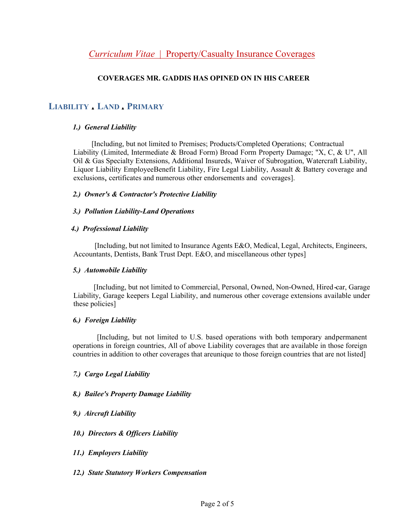# **COVERAGES MR. GADDIS HAS OPINED ON IN HIS CAREER**

# LIABILITY LAND PRIMARY

## *1.) General Liability*

[Including, but not limited to Premises; Products/Completed Operations; Contractual Liability (Limited, Intermediate & Broad Form) Broad Form Property Damage; "X, C, & U", All Oil & Gas Specialty Extensions, Additional Insureds, Waiver of Subrogation, Watercraft Liability, Liquor Liability EmployeeBenefit Liability, Fire Legal Liability, Assault & Battery coverage and exclusions, certificates and numerous other endorsements and coverages].

### *2.) Owner's & Contractor's Protective Liability*

#### *3.) Pollution Liability-Land Operations*

#### *4.) Professional Liability*

[Including, but not limited to Insurance Agents E&O, Medical, Legal, Architects, Engineers, Accountants, Dentists, Bank Trust Dept. E&O, and miscellaneous other types]

#### *5.) Automobile Liability*

[Including, but not limited to Commercial, Personal, Owned, Non-Owned, Hired-car, Garage Liability, Garage keepers Legal Liability, and numerous other coverage extensions available under these policies]

#### *6.) Foreign Liability*

[Including, but not limited to U.S. based operations with both temporary andpermanent operations in foreign countries, All of above Liability coverages that are available in those foreign countries in addition to other coverages that areunique to those foreign countries that are not listed]

## *7.) Cargo Legal Liability*

## *8.) Bailee's Property Damage Liability*

## *9.) Aircraft Liability*

- *10.) Directors & Officers Liability*
- *11.) Employers Liability*

## *12.) State Statutory Workers Compensation*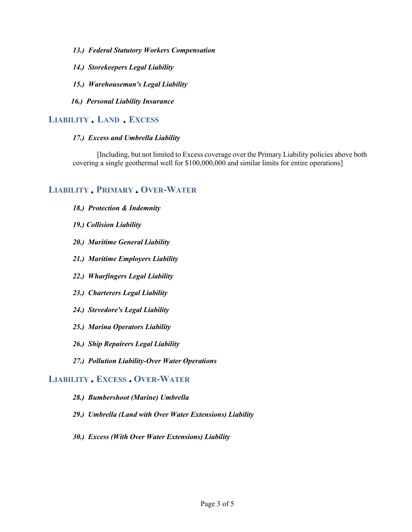- *13.) Federal Statutory Workers Compensation*
- *14.) Storekeepers Legal Liability*
- *15.) Warehouseman's Legal Liability*
- *16.) Personal Liability Insurance*

# LIABILITY LAND **EXCESS**

#### *17.) Excess and Umbrella Liability*

[Including, but not limited to Excess coverage over the Primary Liability policies above both covering a single geothermal well for \$100,000,000 and similar limits for entire operations]

# LIABILITY PRIMARY OVER-WATER

- *18.) Protection & Indemnity*
- *19.) Collision Liability*
- *20.) Maritime General Liability*
- *21.) Maritime Employers Liability*
- *22.) Wharfingers Legal Liability*
- *23.) Charterers Legal Liability*
- *24.) Stevedore's Legal Liability*
- *25.) Marina Operators Liability*
- *26.) Ship Repairers Legal Liability*
- *27.) Pollution Liability-Over Water Operations*

## **LIABILITY EXCESS OVER-WATER**

- *28.) Bumbershoot (Marine) Umbrella*
- *29.) Umbrella (Land with Over Water Extensions) Liability*
- *30.) Excess (With Over Water Extensions) Liability*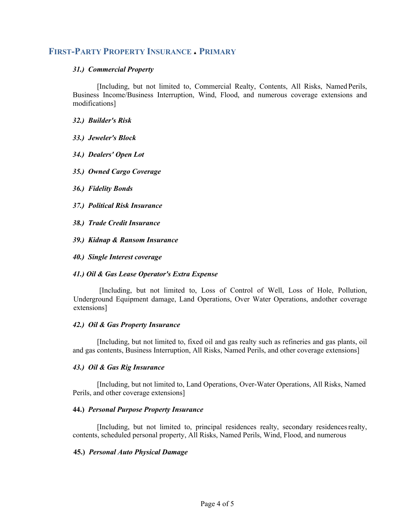# **FIRST-PARTY PROPERTY INSURANCE PRIMARY**

#### *31.) Commercial Property*

[Including, but not limited to, Commercial Realty, Contents, All Risks, NamedPerils, Business Income/Business Interruption, Wind, Flood, and numerous coverage extensions and modifications]

#### *32.) Builder's Risk*

*33.) Jeweler's Block*

- *34.) Dealers' Open Lot*
- *35.) Owned Cargo Coverage*
- *36.) Fidelity Bonds*
- *37.) Political Risk Insurance*
- *38.) Trade Credit Insurance*
- *39.) Kidnap & Ransom Insurance*
- *40.) Single Interest coverage*

#### *41.) Oil & Gas Lease Operator's Extra Expense*

 [Including, but not limited to, Loss of Control of Well, Loss of Hole, Pollution, Underground Equipment damage, Land Operations, Over Water Operations, andother coverage extensions]

#### *42.) Oil & Gas Property Insurance*

[Including, but not limited to, fixed oil and gas realty such as refineries and gas plants, oil and gas contents, Business Interruption, All Risks, Named Perils, and other coverage extensions]

#### *43.) Oil & Gas Rig Insurance*

[Including, but not limited to, Land Operations, Over-Water Operations, All Risks, Named Perils, and other coverage extensions]

#### **44.)** *Personal Purpose Property Insurance*

[Including, but not limited to, principal residences realty, secondary residencesrealty, contents, scheduled personal property, All Risks, Named Perils, Wind, Flood, and numerous

#### **45.)** *Personal Auto Physical Damage*